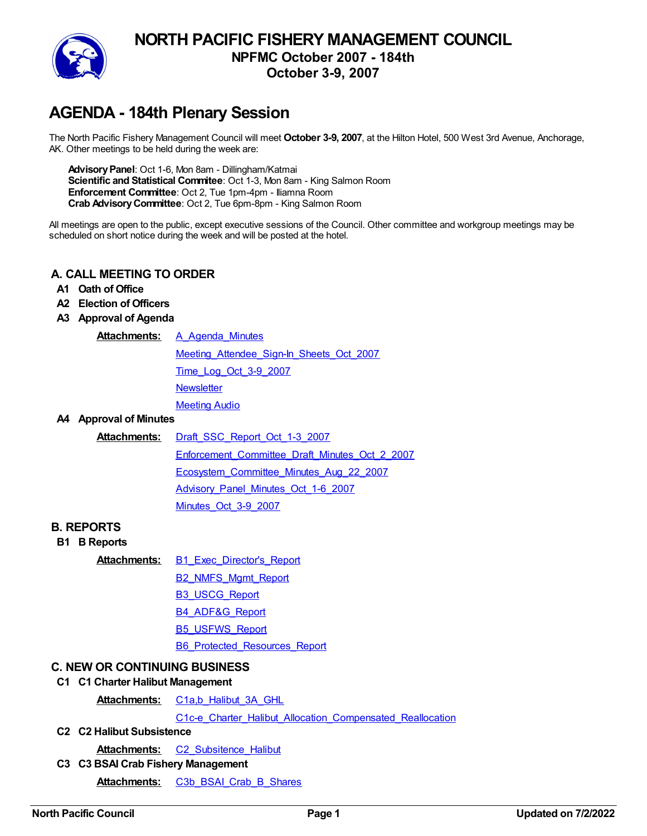

# **NORTH PACIFIC FISHERY MANAGEMENT COUNCIL NPFMC October 2007 - 184th October 3-9, 2007**

# **AGENDA - 184th Plenary Session**

The North Pacific Fishery Management Council will meet **October 3-9, 2007**, at the Hilton Hotel, 500 West 3rd Avenue, Anchorage, AK. Other meetings to be held during the week are:

**AdvisoryPanel**: Oct 1-6, Mon 8am - Dillingham/Katmai **Scientific and Statistical Commitee**: Oct 1-3, Mon 8am - King Salmon Room **Enforcement Committee**: Oct 2, Tue 1pm-4pm - Iliamna Room **Crab AdvisoryCommittee**: Oct 2, Tue 6pm-8pm - King Salmon Room

All meetings are open to the public, except executive sessions of the Council. Other committee and workgroup meetings may be scheduled on short notice during the week and will be posted at the hotel.

#### **A. CALL MEETING TO ORDER**

- **A1 Oath of Office**
- **A2 Election of Officers**
- **A3 Approval of Agenda**

**Attachments:** [A\\_Agenda\\_Minutes](https://meetings.npfmc.org/CommentReview/DownloadFile?p=49349ca7-5b09-4dfe-99fd-e0d72e153c49.pdf&fileName=A_Agenda_Minutes.pdf)

Meeting Attendee Sign-In Sheets Oct 2007 [Time\\_Log\\_Oct\\_3-9\\_2007](https://meetings.npfmc.org/CommentReview/DownloadFile?p=70769abd-0794-48da-b727-7d93567ea0e1.pdf&fileName=Time_Log_Oct_3-9_2007.pdf) **[Newsletter](https://meetings.npfmc.org/CommentReview/DownloadFile?p=47de89b9-7c30-41c7-b1ba-654d9aea640d.pdf&fileName=Newsletter.pdf) [Meeting](https://app.box.com/s/33s5rxarl62cdlyz1jgx93fnoyx3vqz6) Audio** 

#### **A4 Approval of Minutes**

#### **Attachments:** [Draft\\_SSC\\_Report\\_Oct\\_1-3\\_2007](https://meetings.npfmc.org/CommentReview/DownloadFile?p=d81a81cb-aa72-43b4-97ed-7d1058fb6dce.pdf&fileName=Draft_SSC_Report_Oct_1-3_2007.pdf)

[Enforcement\\_Committee\\_Draft\\_Minutes\\_Oct\\_2\\_2007](https://meetings.npfmc.org/CommentReview/DownloadFile?p=20407923-7ff2-459c-bbe6-441b747f08ba.pdf&fileName=Enforcement_Committee_Draft_Minutes_Oct_2_2007.pdf) [Ecosystem\\_Committee\\_Minutes\\_Aug\\_22\\_2007](https://meetings.npfmc.org/CommentReview/DownloadFile?p=ad7443eb-5286-4801-8f40-1c541b6f022a.pdf&fileName=Ecosystem_Committee_Minutes_Aug_22_2007.pdf) [Advisory\\_Panel\\_Minutes\\_Oct\\_1-6\\_2007](https://meetings.npfmc.org/CommentReview/DownloadFile?p=98731fcf-dcd8-4806-8504-b342b898e163.pdf&fileName=Advisory_Panel_Minutes_Oct_1-6_2007.pdf) [Minutes\\_Oct\\_3-9\\_2007](https://meetings.npfmc.org/CommentReview/DownloadFile?p=9d9b4959-b127-4b0f-94dc-21353638a9c3.pdf&fileName=Minutes_Oct_3-9_2007.pdf)

#### **B. REPORTS**

**B1 B Reports**

Attachments: B1 Exec Director's Report

- B<sub>2</sub> NMFS Mgmt Report
- [B3\\_USCG\\_Report](https://meetings.npfmc.org/CommentReview/DownloadFile?p=a07b42db-6c30-4471-b1c6-78baeff8057c.pdf&fileName=B3_USCG_Report.pdf)
- [B4\\_ADF&G\\_Report](https://meetings.npfmc.org/CommentReview/DownloadFile?p=f458062c-8c6a-4c42-820f-021968e08bd0.pdf&fileName=B4_ADF&G_Report.pdf)
- [B5\\_USFWS\\_Report](https://meetings.npfmc.org/CommentReview/DownloadFile?p=79a2939d-5f7c-4144-b909-63df187ee4a2.pdf&fileName=B5_USFWS_Report.pdf)

[B6\\_Protected\\_Resources\\_Report](https://meetings.npfmc.org/CommentReview/DownloadFile?p=83d7e5e1-298c-48ec-a4eb-4c63c5d9bad7.pdf&fileName=B6_Protected_Resources_Report.pdf)

#### **C. NEW OR CONTINUING BUSINESS**

#### **C1 C1 Charter Halibut Management**

**Attachments:** [C1a,b\\_Halibut\\_3A\\_GHL](https://meetings.npfmc.org/CommentReview/DownloadFile?p=089dd7a2-8874-4903-ac96-b94775345030.pdf&fileName=C1a,b_Halibut_3A_GHL.pdf)

C1c-e Charter Halibut Allocation Compensated Reallocation

#### **C2 C2 Halibut Subsistence**

Attachments: C2 Subsitence Halibut

**C3 C3 BSAI Crab Fishery Management**

**Attachments:** [C3b\\_BSAI\\_Crab\\_B\\_Shares](https://meetings.npfmc.org/CommentReview/DownloadFile?p=3e5fadcd-f733-46af-8216-11fe71898168.pdf&fileName=C3b_BSAI_Crab_B_Shares.pdf)